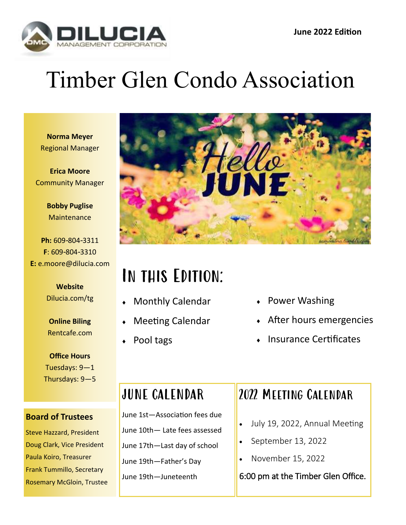

# Timber Glen Condo Association

**Norma Meyer** Regional Manager

**Erica Moore** Community Manager

> **Bobby Puglise Maintenance**

**Ph:** 609-804-3311 **F**: 609-804-3310 **E:** e.moore@dilucia.com

> **Website** Dilucia.com/tg

**Online Biling** Rentcafe.com

**Office Hours** Tuesdays: 9—1 Thursdays: 9—5

#### **Board of Trustees**

Steve Hazzard, President Doug Clark, Vice President Paula Koiro, Treasurer Frank Tummillo, Secretary Rosemary McGloin, Trustee



## In this Edition:

- Monthly Calendar
- Meeting Calendar
- Pool tags
- Power Washing
- After hours emergencies
- Insurance Certificates

## JUNE CALENDAR

June 1st—Association fees due June 10th— Late fees assessed June 17th—Last day of school June 19th—Father's Day June 19th—Juneteenth

### 2022 Meeting Calendar

- July 19, 2022, Annual Meeting
- September 13, 2022
- November 15, 2022

#### 6:00 pm at the Timber Glen Office.